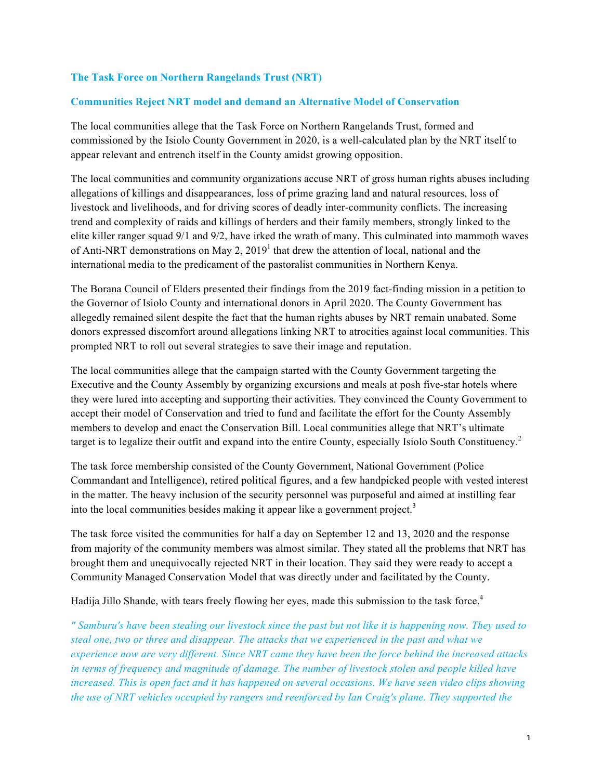## **The Task Force on Northern Rangelands Trust (NRT)**

## **Communities Reject NRT model and demand an Alternative Model of Conservation**

The local communities allege that the Task Force on Northern Rangelands Trust, formed and commissioned by the Isiolo County Government in 2020, is a well-calculated plan by the NRT itself to appear relevant and entrench itself in the County amidst growing opposition.

The local communities and community organizations accuse NRT of gross human rights abuses including allegations of killings and disappearances, loss of prime grazing land and natural resources, loss of livestock and livelihoods, and for driving scores of deadly inter-community conflicts. The increasing trend and complexity of raids and killings of herders and their family members, strongly linked to the elite killer ranger squad 9/1 and 9/2, have irked the wrath of many. This culminated into mammoth waves of Anti-NRT demonstrations on May 2,  $2019<sup>1</sup>$  that drew the attention of local, national and the international media to the predicament of the pastoralist communities in Northern Kenya.

The Borana Council of Elders presented their findings from the 2019 fact-finding mission in a petition to the Governor of Isiolo County and international donors in April 2020. The County Government has allegedly remained silent despite the fact that the human rights abuses by NRT remain unabated. Some donors expressed discomfort around allegations linking NRT to atrocities against local communities. This prompted NRT to roll out several strategies to save their image and reputation.

The local communities allege that the campaign started with the County Government targeting the Executive and the County Assembly by organizing excursions and meals at posh five-star hotels where they were lured into accepting and supporting their activities. They convinced the County Government to accept their model of Conservation and tried to fund and facilitate the effort for the County Assembly members to develop and enact the Conservation Bill. Local communities allege that NRT's ultimate target is to legalize their outfit and expand into the entire County, especially Isiolo South Constituency.<sup>2</sup>

The task force membership consisted of the County Government, National Government (Police Commandant and Intelligence), retired political figures, and a few handpicked people with vested interest in the matter. The heavy inclusion of the security personnel was purposeful and aimed at instilling fear into the local communities besides making it appear like a government project.<sup>3</sup>

The task force visited the communities for half a day on September 12 and 13, 2020 and the response from majority of the community members was almost similar. They stated all the problems that NRT has brought them and unequivocally rejected NRT in their location. They said they were ready to accept a Community Managed Conservation Model that was directly under and facilitated by the County.

Hadija Jillo Shande, with tears freely flowing her eyes, made this submission to the task force.<sup>4</sup>

*" Samburu's have been stealing our livestock since the past but not like it is happening now. They used to steal one, two or three and disappear. The attacks that we experienced in the past and what we experience now are very different. Since NRT came they have been the force behind the increased attacks in terms of frequency and magnitude of damage. The number of livestock stolen and people killed have increased. This is open fact and it has happened on several occasions. We have seen video clips showing the use of NRT vehicles occupied by rangers and reenforced by Ian Craig's plane. They supported the*